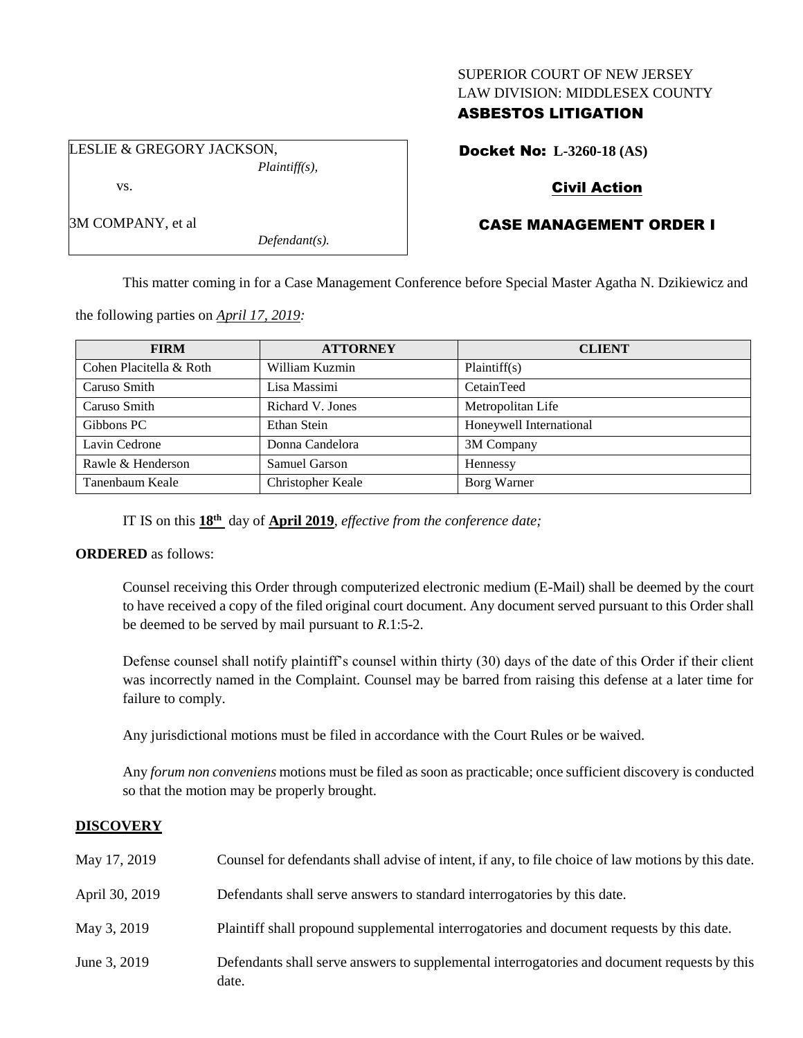#### SUPERIOR COURT OF NEW JERSEY LAW DIVISION: MIDDLESEX COUNTY

# ASBESTOS LITIGATION

LESLIE & GREGORY JACKSON, *Plaintiff(s),* vs.

3M COMPANY, et al

Docket No: **L-3260-18 (AS)**

# Civil Action

# CASE MANAGEMENT ORDER I

This matter coming in for a Case Management Conference before Special Master Agatha N. Dzikiewicz and

the following parties on *April 17, 2019:*

| <b>FIRM</b>             | <b>ATTORNEY</b>   | <b>CLIENT</b>           |
|-------------------------|-------------------|-------------------------|
| Cohen Placitella & Roth | William Kuzmin    | Plaintiff(s)            |
| Caruso Smith            | Lisa Massimi      | CetainTeed              |
| Caruso Smith            | Richard V. Jones  | Metropolitan Life       |
| Gibbons PC              | Ethan Stein       | Honeywell International |
| Lavin Cedrone           | Donna Candelora   | 3M Company              |
| Rawle & Henderson       | Samuel Garson     | Hennessy                |
| Tanenbaum Keale         | Christopher Keale | Borg Warner             |

IT IS on this **18th** day of **April 2019**, *effective from the conference date;*

*Defendant(s).*

## **ORDERED** as follows:

Counsel receiving this Order through computerized electronic medium (E-Mail) shall be deemed by the court to have received a copy of the filed original court document. Any document served pursuant to this Order shall be deemed to be served by mail pursuant to *R*.1:5-2.

Defense counsel shall notify plaintiff's counsel within thirty (30) days of the date of this Order if their client was incorrectly named in the Complaint. Counsel may be barred from raising this defense at a later time for failure to comply.

Any jurisdictional motions must be filed in accordance with the Court Rules or be waived.

Any *forum non conveniens* motions must be filed as soon as practicable; once sufficient discovery is conducted so that the motion may be properly brought.

## **DISCOVERY**

| May 17, 2019   | Counsel for defendants shall advise of intent, if any, to file choice of law motions by this date.    |
|----------------|-------------------------------------------------------------------------------------------------------|
| April 30, 2019 | Defendants shall serve answers to standard interrogatories by this date.                              |
| May 3, 2019    | Plaintiff shall propound supplemental interrogatories and document requests by this date.             |
| June 3, 2019   | Defendants shall serve answers to supplemental interrogatories and document requests by this<br>date. |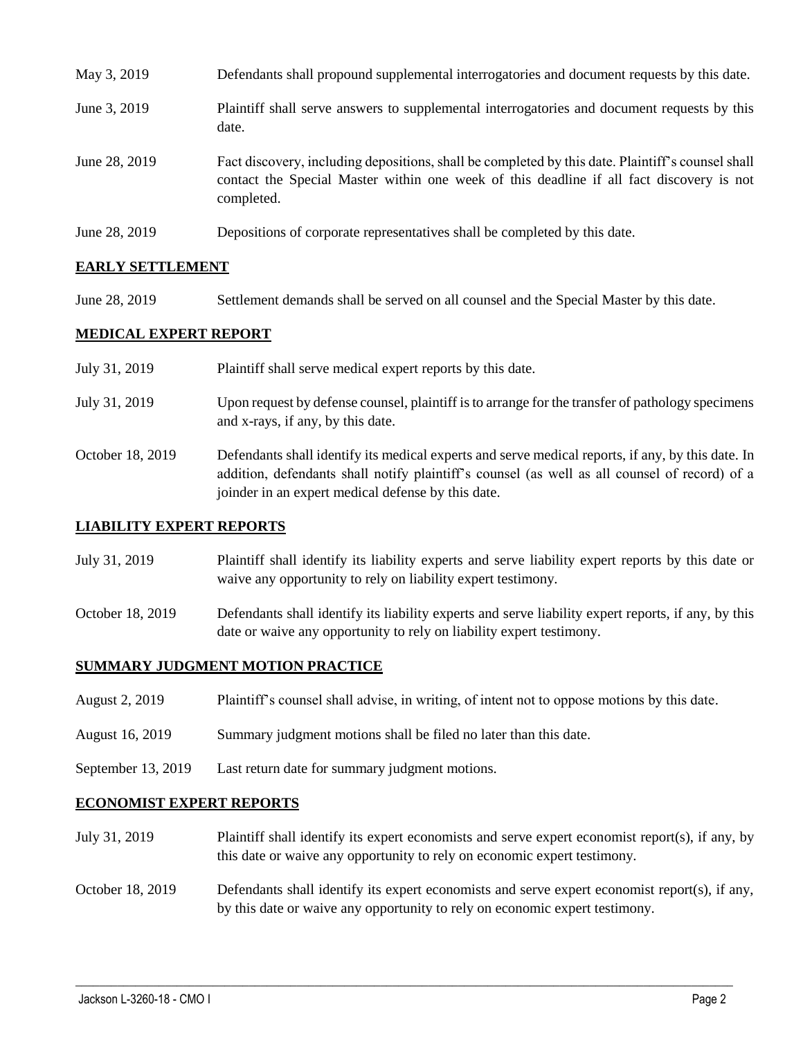| May 3, 2019   | Defendants shall propound supplemental interrogatories and document requests by this date.                                                                                                                  |
|---------------|-------------------------------------------------------------------------------------------------------------------------------------------------------------------------------------------------------------|
| June 3, 2019  | Plaintiff shall serve answers to supplemental interrogatories and document requests by this<br>date.                                                                                                        |
| June 28, 2019 | Fact discovery, including depositions, shall be completed by this date. Plaintiff's counsel shall<br>contact the Special Master within one week of this deadline if all fact discovery is not<br>completed. |
| June 28, 2019 | Depositions of corporate representatives shall be completed by this date.                                                                                                                                   |

## **EARLY SETTLEMENT**

June 28, 2019 Settlement demands shall be served on all counsel and the Special Master by this date.

## **MEDICAL EXPERT REPORT**

| July 31, 2019    | Plaintiff shall serve medical expert reports by this date.                                                                                                                                                                                               |
|------------------|----------------------------------------------------------------------------------------------------------------------------------------------------------------------------------------------------------------------------------------------------------|
| July 31, 2019    | Upon request by defense counsel, plaintiff is to arrange for the transfer of pathology specimens<br>and x-rays, if any, by this date.                                                                                                                    |
| October 18, 2019 | Defendants shall identify its medical experts and serve medical reports, if any, by this date. In<br>addition, defendants shall notify plaintiff's counsel (as well as all counsel of record) of a<br>joinder in an expert medical defense by this date. |

#### **LIABILITY EXPERT REPORTS**

- July 31, 2019 Plaintiff shall identify its liability experts and serve liability expert reports by this date or waive any opportunity to rely on liability expert testimony.
- October 18, 2019 Defendants shall identify its liability experts and serve liability expert reports, if any, by this date or waive any opportunity to rely on liability expert testimony.

#### **SUMMARY JUDGMENT MOTION PRACTICE**

- August 2, 2019 Plaintiff's counsel shall advise, in writing, of intent not to oppose motions by this date.
- August 16, 2019 Summary judgment motions shall be filed no later than this date.
- September 13, 2019 Last return date for summary judgment motions.

#### **ECONOMIST EXPERT REPORTS**

- July 31, 2019 Plaintiff shall identify its expert economists and serve expert economist report(s), if any, by this date or waive any opportunity to rely on economic expert testimony.
- October 18, 2019 Defendants shall identify its expert economists and serve expert economist report(s), if any, by this date or waive any opportunity to rely on economic expert testimony.

 $\_$  , and the set of the set of the set of the set of the set of the set of the set of the set of the set of the set of the set of the set of the set of the set of the set of the set of the set of the set of the set of th